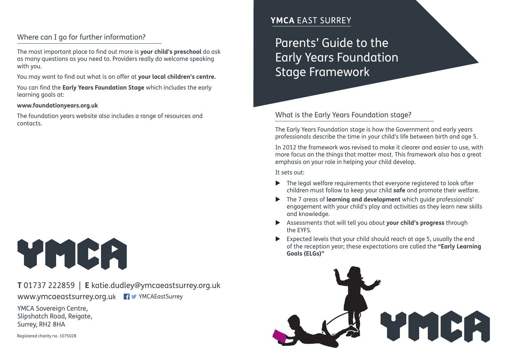## Where can I go for further information?

The most important place to find out more is **your child's preschool** do ask as many questions as you need to. Providers really do welcome speaking with you.

You may want to find out what is on offer at **your local children's centre.**

You can find the **Early Years Foundation Stage** which includes the early learning goals at:

#### **www.foundationyears.org.uk**

The foundation years website also includes a range of resources and contacts.

# YMCA

## **T** 01737 222859 | **E** katie.dudley@ymcaeastsurrey.org.uk www.ymcaeastsurrey.org.uk FV YMCAEastSurrey

YMCA Sovereign Centre. Slipshatch Road, Reigate, Surrey, RH2 8HA

Registered charity no. 1075028

## **YMCA EAST SURREY**

Parents' Guide to the Early Years Foundation Stage Framework

#### What is the Early Years Foundation stage?

The Early Years Foundation stage is how the Government and early years professionals describe the time in your child's life between birth and age 5.

In 2012 the framework was revised to make it clearer and easier to use, with more focus on the things that matter most. This framework also has a great emphasis on your role in helping your child develop.

It sets out:

- $\blacktriangleright$  The legal welfare requirements that everyone registered to look after children must follow to keep your child **safe** and promote their welfare.
- u The 7 areas of **learning and development** which guide professionals' engagement with your child's play and activities as they learn new skills and knowledge.
- u Assessments that will tell you about **your child's progress** through the EYFS.
- Expected levels that your child should reach at age 5, usually the end of the reception year; these expectations are called the **"Early Learning Goals (ELGs)"**